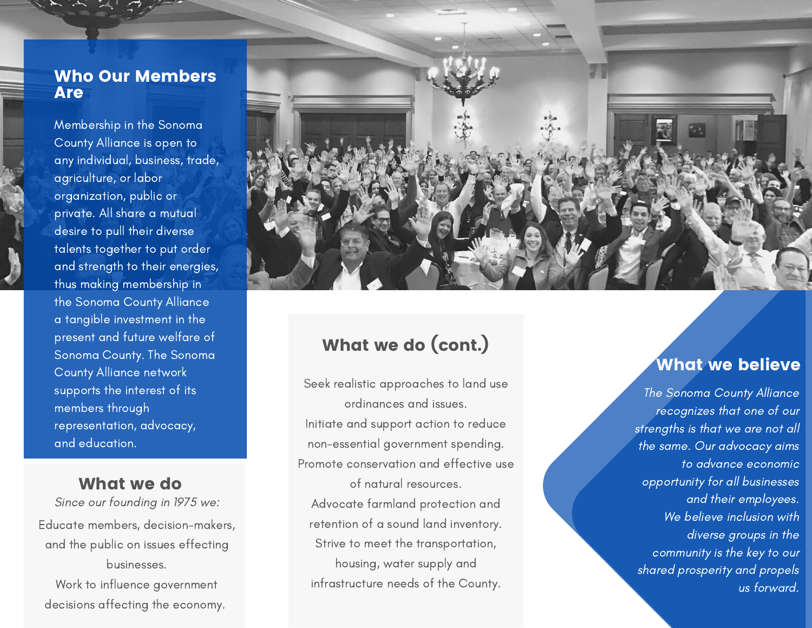### Who Our Members **Are**

Membership in the Sonoma County Alliance is open to any individual, business, trade, agriculture, or labor organization, public or private. All share a mutual desire to pull their diverse talents together to put ord e r and strength to their energies, thus making membership in the Sonoma County Alliance a tangible investment in the present and future welfare of Sonoma County. The Sonoma County Alliance network supports the interest of its members through representation, advocacy, and educatior

Since our founding in 1975 we: Educate members, decision-makers, and the public on issues effecting b u sin e s s e s. Work to influence government

decisions affecting the econom<sub>)</sub>



# What we do (cont.*)*

The ordinances and issues.<br>
wugh ordinances and issues.<br>
n, advocacy, limitiate and support action to reduce the strel<br>
n. non-essential government spending.<br>
the the **What we do**<br>
e our founding in 1975 we:<br>
e our founding in 1975 we:<br>
e public on issues effecting<br>
businesses.<br>
alternation of a sound land inventory.<br>
le public on issues effecting<br>
businesses.<br>
alternation of a sound la Se<br>Ir<br>In<br>Prc<br>...<br>...<br>iy. eek realistic approaches to land use o r din a n c e s a n d is s u e s. Initiate and support action to reduce non-essential government spending. Promote conservation and effective us e of natural resources. Advocate farmland protectio n a n d retention of a sound land inventory. Strive to meet the transportation, housing, water supply and Neek realistic approaches to land use<br>
ordinances and issues.<br>
It interests of the Southern and support action to reduce<br>
strength<br>
the same of natural resources.<br>
Advocate farmland protection and<br>
retention of a sound lan

# hat we believe

e Sonoma County Alliance recognizes that one of our strengths is that we are not all the same. Our advocacy aims to advance economic opportunity for all businesses a n d t h e i r e m p l oye e s. We believe inclusion with diverse groups in the community is the key to our shared prosperity and propels u s fo r wa